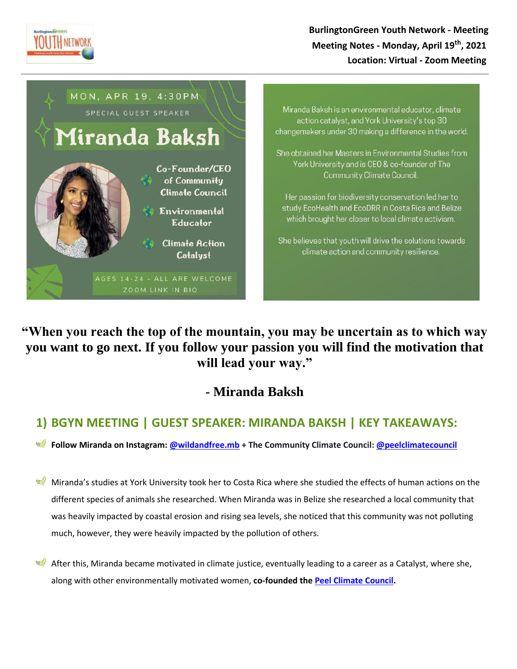

## **BurlingtonGreen Youth Network - Meeting Meeting Notes - Monday, April 19th, 2021 Location: Virtual - Zoom Meeting**



Miranda Baksh is an environmental educator, climate action catalyst, and York University's top 30 changemakers under 30 making a difference in the world.

She obtained her Masters in Environmental Studies from York University and is CEO & co-founder of The Community Climate Council.

Her passion for biodiversity conservation led her to study EcoHealth and EcoDRR in Costa Rica and Belize which brought her closer to local climate activism.

She believes that youth will drive the solutions towards climate action and community resilience.

**"When you reach the top of the mountain, you may be uncertain as to which way you want to go next. If you follow your passion you will find the motivation that will lead your way."** 

## **- Miranda Baksh**

## **1) BGYN MEETING | GUEST SPEAKER: MIRANDA BAKSH | KEY TAKEAWAYS:**

**Follow Miranda on Instagram: [@wildandfree.mb](https://www.instagram.com/wildandfree.mb/) + The Community Climate Council: [@peelclimatecouncil](https://www.instagram.com/peelclimatecouncil/)**

Miranda's studies at York University took her to Costa Rica where she studied the effects of human actions on the different species of animals she researched. When Miranda was in Belize she researched a local community that was heavily impacted by coastal erosion and rising sea levels, she noticed that this community was not polluting much, however, they were heavily impacted by the pollution of others.

After this, Miranda became motivated in climate justice, eventually leading to a career as a Catalyst, where she, along with other environmentally motivated women, **co-founded the [Peel Climate Council.](https://www.communityclimatecouncil.org/)**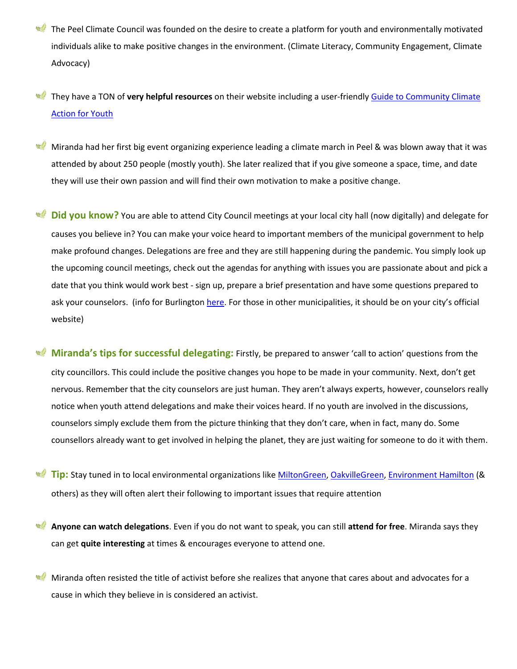- The Peel Climate Council was founded on the desire to create a platform for youth and environmentally motivated individuals alike to make positive changes in the environment. (Climate Literacy, Community Engagement, Climate Advocacy)
- They have a TON of **very helpful resources** on their website including a user-friendl[y Guide to Community Climate](https://www.communityclimatecouncil.org/resource-guide-youth)  [Action for Youth](https://www.communityclimatecouncil.org/resource-guide-youth)
- $w$ Miranda had her first big event organizing experience leading a climate march in Peel & was blown away that it was attended by about 250 people (mostly youth). She later realized that if you give someone a space, time, and date they will use their own passion and will find their own motivation to make a positive change.
- **Did you know?** You are able to attend City Council meetings at your local city hall (now digitally) and delegate for causes you believe in? You can make your voice heard to important members of the municipal government to help make profound changes. Delegations are free and they are still happening during the pandemic. You simply look up the upcoming council meetings, check out the agendas for anything with issues you are passionate about and pick a date that you think would work best - sign up, prepare a brief presentation and have some questions prepared to ask your counselors. (info for Burlington [here](https://www.burlington.ca/en/your-city/Council-and-Committee-Meetings.asp). For those in other municipalities, it should be on your city's official website)
- **Miranda's tips for successful delegating:** Firstly, be prepared to answer 'call to action' questions from the city councillors. This could include the positive changes you hope to be made in your community. Next, don't get nervous. Remember that the city counselors are just human. They aren't always experts, however, counselors really notice when youth attend delegations and make their voices heard. If no youth are involved in the discussions, counselors simply exclude them from the picture thinking that they don't care, when in fact, many do. Some counsellors already want to get involved in helping the planet, they are just waiting for someone to do it with them.
- **Tip:** Stay tuned in to local environmental organizations like [MiltonGreen,](https://miltongreen.org/) [OakvilleGreen,](https://oakvillegreen.org/) [Environment Hamilton](https://www.environmenthamilton.org/) (& others) as they will often alert their following to important issues that require attention
- **Anyone can watch delegations**. Even if you do not want to speak, you can still **attend for free**. Miranda says they can get **quite interesting** at times & encourages everyone to attend one.
- Miranda often resisted the title of activist before she realizes that anyone that cares about and advocates for a cause in which they believe in is considered an activist.